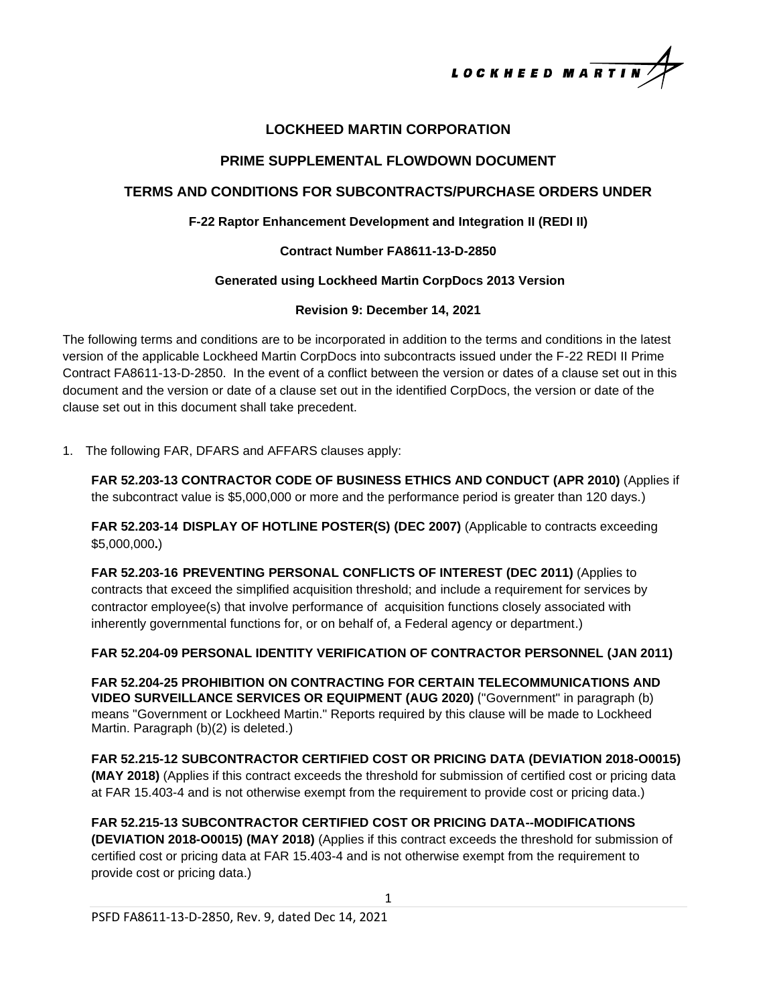

## **LOCKHEED MARTIN CORPORATION**

### **PRIME SUPPLEMENTAL FLOWDOWN DOCUMENT**

# **TERMS AND CONDITIONS FOR SUBCONTRACTS/PURCHASE ORDERS UNDER**

#### **F-22 Raptor Enhancement Development and Integration II (REDI II)**

#### **Contract Number FA8611-13-D-2850**

#### **Generated using Lockheed Martin CorpDocs 2013 Version**

#### **Revision 9: December 14, 2021**

The following terms and conditions are to be incorporated in addition to the terms and conditions in the latest version of the applicable Lockheed Martin CorpDocs into subcontracts issued under the F-22 REDI II Prime Contract FA8611-13-D-2850. In the event of a conflict between the version or dates of a clause set out in this document and the version or date of a clause set out in the identified CorpDocs, the version or date of the clause set out in this document shall take precedent.

1. The following FAR, DFARS and AFFARS clauses apply:

**FAR 52.203-13 CONTRACTOR CODE OF BUSINESS ETHICS AND CONDUCT (APR 2010)** (Applies if the subcontract value is \$5,000,000 or more and the performance period is greater than 120 days.)

**FAR 52.203-14 DISPLAY OF HOTLINE POSTER(S) (DEC 2007)** (Applicable to contracts exceeding \$5,000,000**.**)

**FAR 52.203-16 PREVENTING PERSONAL CONFLICTS OF INTEREST (DEC 2011)** (Applies to contracts that exceed the simplified acquisition threshold; and include a requirement for services by contractor employee(s) that involve performance of acquisition functions closely associated with inherently governmental functions for, or on behalf of, a Federal agency or department.)

**FAR 52.204-09 PERSONAL IDENTITY VERIFICATION OF CONTRACTOR PERSONNEL (JAN 2011)**

**FAR 52.204-25 PROHIBITION ON CONTRACTING FOR CERTAIN TELECOMMUNICATIONS AND VIDEO SURVEILLANCE SERVICES OR EQUIPMENT (AUG 2020)** ("Government" in paragraph (b) means "Government or Lockheed Martin." Reports required by this clause will be made to Lockheed Martin. Paragraph (b)(2) is deleted.)

**FAR 52.215-12 SUBCONTRACTOR CERTIFIED COST OR PRICING DATA (DEVIATION 2018-O0015) (MAY 2018)** (Applies if this contract exceeds the threshold for submission of certified cost or pricing data at FAR 15.403-4 and is not otherwise exempt from the requirement to provide cost or pricing data.)

**FAR 52.215-13 SUBCONTRACTOR CERTIFIED COST OR PRICING DATA--MODIFICATIONS (DEVIATION 2018-O0015) (MAY 2018)** (Applies if this contract exceeds the threshold for submission of certified cost or pricing data at FAR 15.403-4 and is not otherwise exempt from the requirement to provide cost or pricing data.)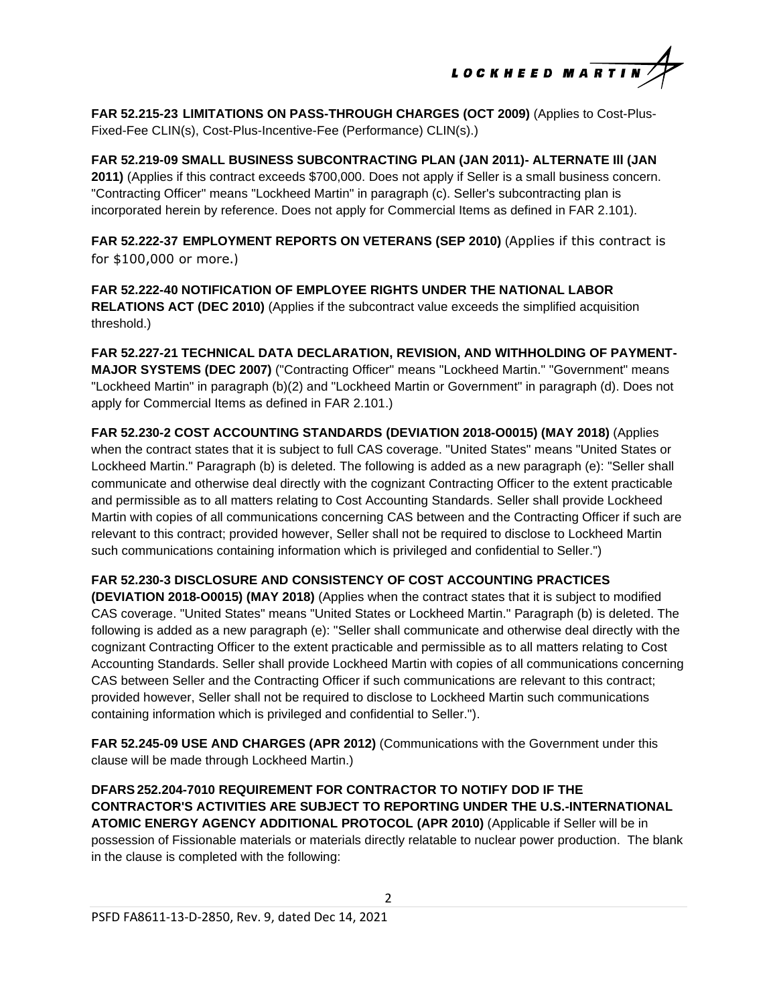

**FAR 52.215-23 LIMITATIONS ON PASS-THROUGH CHARGES (OCT 2009)** (Applies to Cost-Plus-Fixed-Fee CLIN(s), Cost-Plus-Incentive-Fee (Performance) CLIN(s).)

**FAR 52.219-09 SMALL BUSINESS SUBCONTRACTING PLAN (JAN 2011)- ALTERNATE Ill (JAN 2011)** (Applies if this contract exceeds \$700,000. Does not apply if Seller is a small business concern. "Contracting Officer" means "Lockheed Martin" in paragraph (c). Seller's subcontracting plan is incorporated herein by reference. Does not apply for Commercial Items as defined in FAR 2.101).

**FAR 52.222-37 EMPLOYMENT REPORTS ON VETERANS (SEP 2010)** (Applies if this contract is for \$100,000 or more.)

**FAR 52.222-40 NOTIFICATION OF EMPLOYEE RIGHTS UNDER THE NATIONAL LABOR RELATIONS ACT (DEC 2010)** (Applies if the subcontract value exceeds the simplified acquisition threshold.)

**FAR 52.227-21 TECHNICAL DATA DECLARATION, REVISION, AND WITHHOLDING OF PAYMENT-MAJOR SYSTEMS (DEC 2007)** ("Contracting Officer" means "Lockheed Martin." "Government" means "Lockheed Martin" in paragraph (b)(2) and "Lockheed Martin or Government" in paragraph (d). Does not apply for Commercial Items as defined in FAR 2.101.)

**FAR 52.230-2 COST ACCOUNTING STANDARDS (DEVIATION 2018-O0015) (MAY 2018)** (Applies when the contract states that it is subject to full CAS coverage. "United States" means "United States or Lockheed Martin." Paragraph (b) is deleted. The following is added as a new paragraph (e): "Seller shall communicate and otherwise deal directly with the cognizant Contracting Officer to the extent practicable and permissible as to all matters relating to Cost Accounting Standards. Seller shall provide Lockheed Martin with copies of all communications concerning CAS between and the Contracting Officer if such are relevant to this contract; provided however, Seller shall not be required to disclose to Lockheed Martin such communications containing information which is privileged and confidential to Seller.")

# **FAR 52.230-3 DISCLOSURE AND CONSISTENCY OF COST ACCOUNTING PRACTICES**

**(DEVIATION 2018-O0015) (MAY 2018)** (Applies when the contract states that it is subject to modified CAS coverage. "United States" means "United States or Lockheed Martin." Paragraph (b) is deleted. The following is added as a new paragraph (e): "Seller shall communicate and otherwise deal directly with the cognizant Contracting Officer to the extent practicable and permissible as to all matters relating to Cost Accounting Standards. Seller shall provide Lockheed Martin with copies of all communications concerning CAS between Seller and the Contracting Officer if such communications are relevant to this contract; provided however, Seller shall not be required to disclose to Lockheed Martin such communications containing information which is privileged and confidential to Seller.").

**FAR 52.245-09 USE AND CHARGES (APR 2012)** (Communications with the Government under this clause will be made through Lockheed Martin.)

**DFARS 252.204-7010 REQUIREMENT FOR CONTRACTOR TO NOTIFY DOD IF THE CONTRACTOR'S ACTIVITIES ARE SUBJECT TO REPORTING UNDER THE U.S.-INTERNATIONAL ATOMIC ENERGY AGENCY ADDITIONAL PROTOCOL (APR 2010)** (Applicable if Seller will be in possession of Fissionable materials or materials directly relatable to nuclear power production. The blank in the clause is completed with the following: